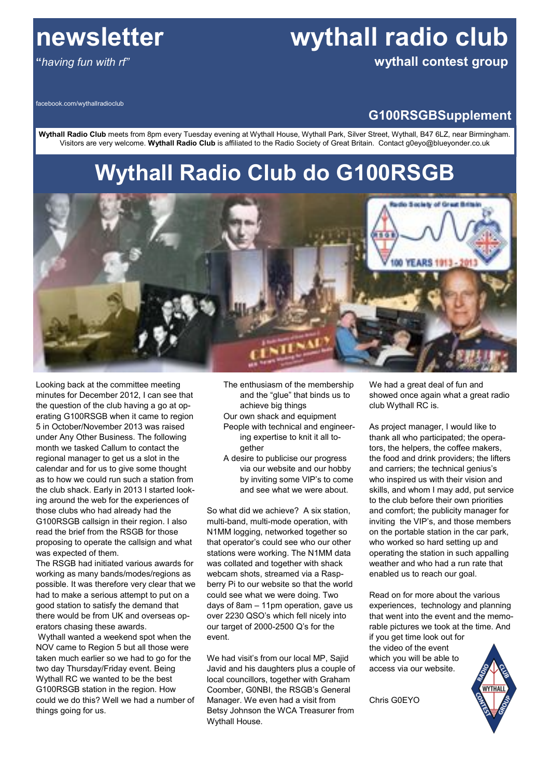# **newsletter wythall radio club**

**"***having fun with rf"* **wythall contest group**

facebook.com/wythallradioclub

### **G100RSGBSupplement**

**Wythall Radio Club** meets from 8pm every Tuesday evening at Wythall House, Wythall Park, Silver Street, Wythall, B47 6LZ, near Birmingham. Visitors are very welcome. **Wythall Radio Club** is affiliated to the Radio Society of Great Britain. Contact g0eyo@blueyonder.co.uk

# **Wythall Radio Club do G100RSGB**



Looking back at the committee meeting minutes for December 2012, I can see that the question of the club having a go at operating G100RSGB when it came to region 5 in October/November 2013 was raised under Any Other Business. The following month we tasked Callum to contact the regional manager to get us a slot in the calendar and for us to give some thought as to how we could run such a station from the club shack. Early in 2013 I started looking around the web for the experiences of those clubs who had already had the G100RSGB callsign in their region. I also read the brief from the RSGB for those proposing to operate the callsign and what was expected of them.

The RSGB had initiated various awards for working as many bands/modes/regions as possible. It was therefore very clear that we had to make a serious attempt to put on a good station to satisfy the demand that there would be from UK and overseas operators chasing these awards.

Wythall wanted a weekend spot when the NOV came to Region 5 but all those were taken much earlier so we had to go for the two day Thursday/Friday event. Being Wythall RC we wanted to be the best G100RSGB station in the region. How could we do this? Well we had a number of things going for us.

The enthusiasm of the membership and the "glue" that binds us to achieve big things

- Our own shack and equipment People with technical and engineering expertise to knit it all together
- A desire to publicise our progress via our website and our hobby by inviting some VIP's to come and see what we were about.

So what did we achieve? A six station, multi-band, multi-mode operation, with N1MM logging, networked together so that operator's could see who our other stations were working. The N1MM data was collated and together with shack webcam shots, streamed via a Raspberry Pi to our website so that the world could see what we were doing. Two days of 8am – 11pm operation, gave us over 2230 QSO's which fell nicely into our target of 2000-2500 Q's for the event.

We had visit's from our local MP, Sajid Javid and his daughters plus a couple of local councillors, together with Graham Coomber, G0NBI, the RSGB's General Manager. We even had a visit from Betsy Johnson the WCA Treasurer from Wythall House.

We had a great deal of fun and showed once again what a great radio club Wythall RC is.

As project manager, I would like to thank all who participated; the operators, the helpers, the coffee makers, the food and drink providers; the lifters and carriers; the technical genius's who inspired us with their vision and skills, and whom I may add, put service to the club before their own priorities and comfort; the publicity manager for inviting the VIP's, and those members on the portable station in the car park, who worked so hard setting up and operating the station in such appalling weather and who had a run rate that enabled us to reach our goal.

Read on for more about the various experiences, technology and planning that went into the event and the memorable pictures we took at the time. And if you get time look out for

the video of the event which you will be able to access via our website.

Chris G0EYO

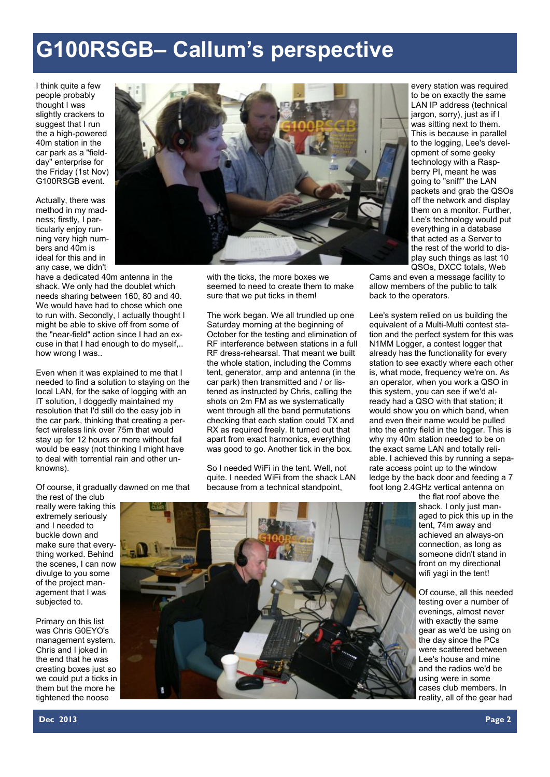# **G100RSGB– Callum's perspective**

I think quite a few people probably thought I was slightly crackers to suggest that I run the a high-powered 40m station in the car park as a "fieldday" enterprise for the Friday (1st Nov) G100RSGB event.

Actually, there was method in my madness; firstly, I particularly enjoy running very high numbers and 40m is ideal for this and in any case, we didn't

have a dedicated 40m antenna in the shack. We only had the doublet which needs sharing between 160, 80 and 40. We would have had to chose which one to run with. Secondly, I actually thought I might be able to skive off from some of the "near-field" action since I had an excuse in that I had enough to do myself,.. how wrong I was..

Even when it was explained to me that I needed to find a solution to staying on the local LAN, for the sake of logging with an IT solution, I doggedly maintained my resolution that I'd still do the easy job in the car park, thinking that creating a perfect wireless link over 75m that would stay up for 12 hours or more without fail would be easy (not thinking I might have to deal with torrential rain and other unknowns).



with the ticks, the more boxes we seemed to need to create them to make sure that we put ticks in them!

The work began. We all trundled up one Saturday morning at the beginning of October for the testing and elimination of RF interference between stations in a full RF dress-rehearsal. That meant we built the whole station, including the Comms tent, generator, amp and antenna (in the car park) then transmitted and / or listened as instructed by Chris, calling the shots on 2m FM as we systematically went through all the band permutations checking that each station could TX and RX as required freely. It turned out that apart from exact harmonics, everything was good to go. Another tick in the box.

So I needed WiFi in the tent. Well, not quite. I needed WiFi from the shack LAN because from a technical standpoint,

every station was required to be on exactly the same LAN IP address (technical jargon, sorry), just as if I was sitting next to them. This is because in parallel to the logging, Lee's development of some geeky technology with a Raspberry PI, meant he was going to "sniff" the LAN packets and grab the QSOs off the network and display them on a monitor. Further, Lee's technology would put everything in a database that acted as a Server to the rest of the world to display such things as last 10 QSOs, DXCC totals, Web

Cams and even a message facility to allow members of the public to talk back to the operators.

Lee's system relied on us building the equivalent of a Multi-Multi contest station and the perfect system for this was N1MM Logger, a contest logger that already has the functionality for every station to see exactly where each other is, what mode, frequency we're on. As an operator, when you work a QSO in this system, you can see if we'd already had a QSO with that station; it would show you on which band, when and even their name would be pulled into the entry field in the logger. This is why my 40m station needed to be on the exact same LAN and totally reliable. I achieved this by running a separate access point up to the window ledge by the back door and feeding a 7 foot long 2.4GHz vertical antenna on

> the flat roof above the shack. I only just managed to pick this up in the tent, 74m away and achieved an always-on connection, as long as someone didn't stand in front on my directional wifi yagi in the tent!

> Of course, all this needed testing over a number of evenings, almost never with exactly the same gear as we'd be using on the day since the PCs were scattered between Lee's house and mine and the radios we'd be using were in some cases club members. In reality, all of the gear had

Of course, it gradually dawned on me that

the rest of the club really were taking this extremely seriously and I needed to buckle down and make sure that everything worked. Behind the scenes, I can now divulge to you some of the project management that I was subjected to.

Primary on this list was Chris G0EYO's management system. Chris and I joked in the end that he was creating boxes just so we could put a ticks in them but the more he tightened the noose

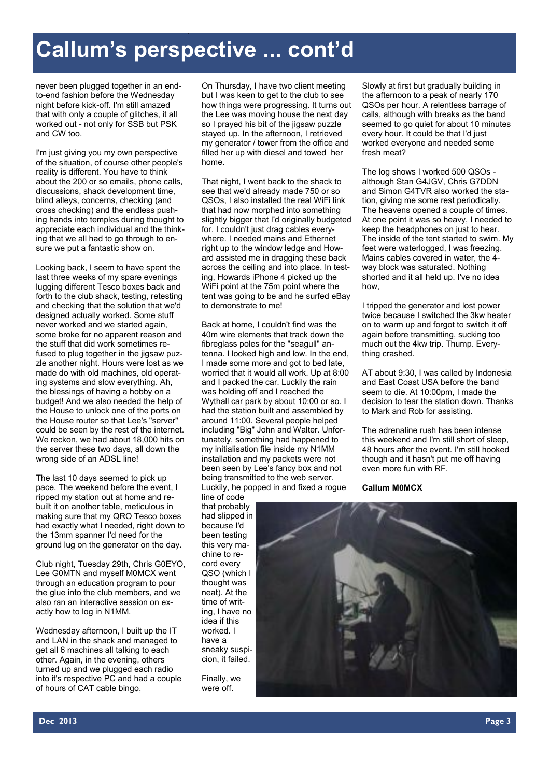# **Callum's perspective ... cont'd**

never been plugged together in an endto-end fashion before the Wednesday night before kick-off. I'm still amazed that with only a couple of glitches, it all worked out - not only for SSB but PSK and CW too.

I'm just giving you my own perspective of the situation, of course other people's reality is different. You have to think about the 200 or so emails, phone calls, discussions, shack development time, blind alleys, concerns, checking (and cross checking) and the endless pushing hands into temples during thought to appreciate each individual and the thinking that we all had to go through to ensure we put a fantastic show on.

Looking back, I seem to have spent the last three weeks of my spare evenings lugging different Tesco boxes back and forth to the club shack, testing, retesting and checking that the solution that we'd designed actually worked. Some stuff never worked and we started again, some broke for no apparent reason and the stuff that did work sometimes refused to plug together in the jigsaw puzzle another night. Hours were lost as we made do with old machines, old operating systems and slow everything. Ah, the blessings of having a hobby on a budget! And we also needed the help of the House to unlock one of the ports on the House router so that Lee's "server" could be seen by the rest of the internet. We reckon, we had about 18,000 hits on the server these two days, all down the wrong side of an ADSL line!

The last 10 days seemed to pick up pace. The weekend before the event, I ripped my station out at home and rebuilt it on another table, meticulous in making sure that my QRO Tesco boxes had exactly what I needed, right down to the 13mm spanner I'd need for the ground lug on the generator on the day.

Club night, Tuesday 29th, Chris G0EYO, Lee G0MTN and myself M0MCX went through an education program to pour the glue into the club members, and we also ran an interactive session on exactly how to log in N1MM.

Wednesday afternoon, I built up the IT and LAN in the shack and managed to get all 6 machines all talking to each other. Again, in the evening, others turned up and we plugged each radio into it's respective PC and had a couple of hours of CAT cable bingo,

On Thursday, I have two client meeting but I was keen to get to the club to see how things were progressing. It turns out the Lee was moving house the next day so I prayed his bit of the jigsaw puzzle stayed up. In the afternoon, I retrieved my generator / tower from the office and filled her up with diesel and towed her home.

That night, I went back to the shack to see that we'd already made 750 or so QSOs, I also installed the real WiFi link that had now morphed into something slightly bigger that I'd originally budgeted for. I couldn't just drag cables everywhere. I needed mains and Ethernet right up to the window ledge and Howard assisted me in dragging these back across the ceiling and into place. In testing, Howards iPhone 4 picked up the WiFi point at the 75m point where the tent was going to be and he surfed eBay to demonstrate to me!

Back at home, I couldn't find was the 40m wire elements that track down the fibreglass poles for the "seagull" antenna. I looked high and low. In the end, I made some more and got to bed late, worried that it would all work. Up at 8:00 and I packed the car. Luckily the rain was holding off and I reached the Wythall car park by about 10:00 or so. I had the station built and assembled by around 11:00. Several people helped including "Big" John and Walter. Unfortunately, something had happened to my initialisation file inside my N1MM installation and my packets were not been seen by Lee's fancy box and not being transmitted to the web server. Luckily, he popped in and fixed a rogue line of code

that probably had slipped in because I'd been testing this very machine to record every QSO (which I thought was neat). At the time of writing, I have no idea if this worked. I have a sneaky suspicion, it failed.

Finally, we were off.

Slowly at first but gradually building in the afternoon to a peak of nearly 170 QSOs per hour. A relentless barrage of calls, although with breaks as the band seemed to go quiet for about 10 minutes every hour. It could be that I'd just worked everyone and needed some fresh meat?

The log shows I worked 500 QSOs although Stan G4JGV, Chris G7DDN and Simon G4TVR also worked the station, giving me some rest periodically. The heavens opened a couple of times. At one point it was so heavy, I needed to keep the headphones on just to hear. The inside of the tent started to swim. My feet were waterlogged, I was freezing. Mains cables covered in water, the 4 way block was saturated. Nothing shorted and it all held up. I've no idea how,

I tripped the generator and lost power twice because I switched the 3kw heater on to warm up and forgot to switch it off again before transmitting, sucking too much out the 4kw trip. Thump. Everything crashed.

AT about 9:30, I was called by Indonesia and East Coast USA before the band seem to die. At 10:00pm, I made the decision to tear the station down. Thanks to Mark and Rob for assisting.

The adrenaline rush has been intense this weekend and I'm still short of sleep, 48 hours after the event. I'm still hooked though and it hasn't put me off having even more fun with RF.

**Callum M0MCX**

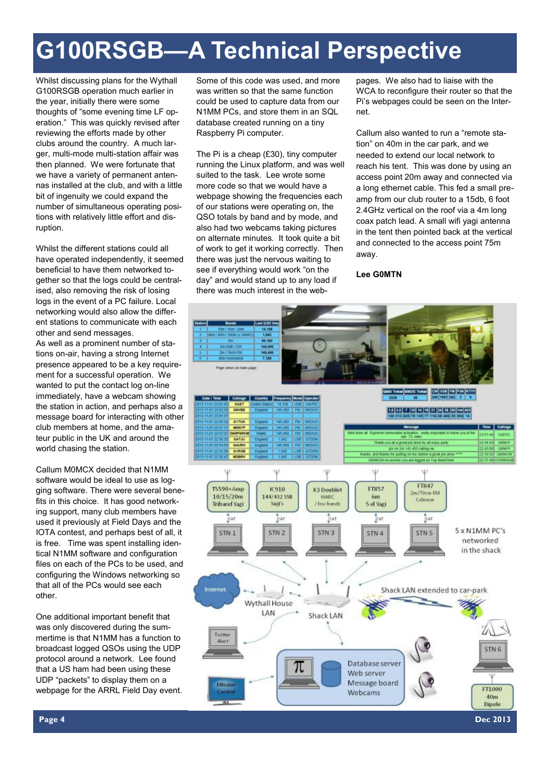# **G100RSGB—A Technical Perspective**

Whilst discussing plans for the Wythall G100RSGB operation much earlier in the year, initially there were some thoughts of "some evening time LF operation." This was quickly revised after reviewing the efforts made by other clubs around the country. A much larger, multi-mode multi-station affair was then planned. We were fortunate that we have a variety of permanent antennas installed at the club, and with a little bit of ingenuity we could expand the number of simultaneous operating positions with relatively little effort and disruption.

Whilst the different stations could all have operated independently, it seemed beneficial to have them networked together so that the logs could be centralised, also removing the risk of losing logs in the event of a PC failure. Local networking would also allow the different stations to communicate with each other and send messages. As well as a prominent number of sta-

tions on-air, having a strong Internet presence appeared to be a key requirement for a successful operation. We wanted to put the contact log on-line immediately, have a webcam showing the station in action, and perhaps also a message board for interacting with other club members at home, and the amateur public in the UK and around the world chasing the station.

Callum M0MCX decided that N1MM software would be ideal to use as logging software. There were several benefits in this choice. It has good networking support, many club members have used it previously at Field Days and the IOTA contest, and perhaps best of all, it is free. Time was spent installing identical N1MM software and configuration files on each of the PCs to be used, and configuring the Windows networking so that all of the PCs would see each other.

One additional important benefit that was only discovered during the summertime is that N1MM has a function to broadcast logged QSOs using the UDP protocol around a network. Lee found that a US ham had been using these UDP "packets" to display them on a webpage for the ARRL Field Day event. Some of this code was used, and more was written so that the same function could be used to capture data from our N1MM PCs, and store them in an SQL database created running on a tiny Raspberry Pi computer.

The Pi is a cheap (£30), tiny computer running the Linux platform, and was well suited to the task. Lee wrote some more code so that we would have a webpage showing the frequencies each of our stations were operating on, the QSO totals by band and by mode, and also had two webcams taking pictures on alternate minutes. It took quite a bit of work to get it working correctly. Then there was just the nervous waiting to see if everything would work "on the day" and would stand up to any load if there was much interest in the web-

pages. We also had to liaise with the WCA to reconfigure their router so that the Pi's webpages could be seen on the Internet.

Callum also wanted to run a "remote station" on 40m in the car park, and we needed to extend our local network to reach his tent. This was done by using an access point 20m away and connected via a long ethernet cable. This fed a small preamp from our club router to a 15db, 6 foot 2.4GHz vertical on the roof via a 4m long coax patch lead. A small wifi yagi antenna in the tent then pointed back at the vertical and connected to the access point 75m away.

### **Lee G0MTN**

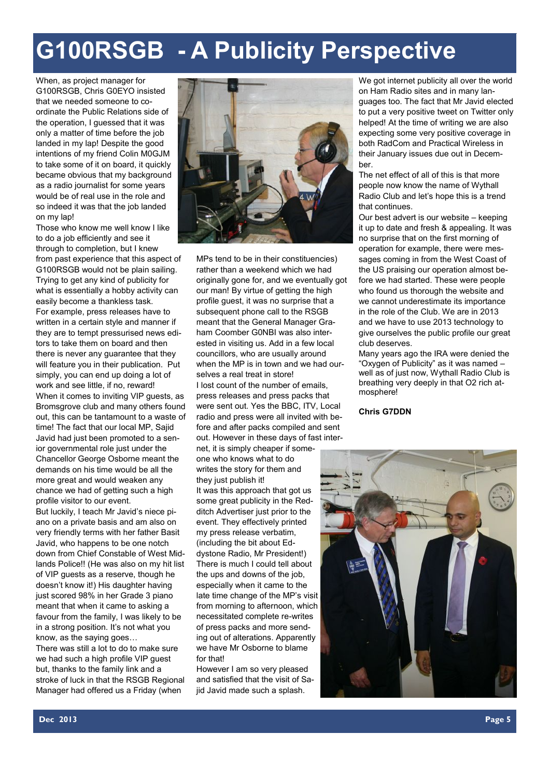# **G100RSGB - A Publicity Perspective**

When, as project manager for G100RSGB, Chris G0EYO insisted that we needed someone to coordinate the Public Relations side of the operation, I guessed that it was only a matter of time before the job landed in my lap! Despite the good intentions of my friend Colin M0GJM to take some of it on board, it quickly became obvious that my background as a radio journalist for some years would be of real use in the role and so indeed it was that the job landed on my lap!

Those who know me well know I like to do a job efficiently and see it through to completion, but I knew from past experience that this aspect of G100RSGB would not be plain sailing. Trying to get any kind of publicity for what is essentially a hobby activity can easily become a thankless task. For example, press releases have to written in a certain style and manner if they are to tempt pressurised news editors to take them on board and then there is never any guarantee that they will feature you in their publication. Put simply, you can end up doing a lot of work and see little, if no, reward! When it comes to inviting VIP guests, as Bromsgrove club and many others found out, this can be tantamount to a waste of time! The fact that our local MP, Sajid Javid had just been promoted to a senior governmental role just under the Chancellor George Osborne meant the demands on his time would be all the more great and would weaken any chance we had of getting such a high profile visitor to our event. But luckily, I teach Mr Javid's niece piano on a private basis and am also on very friendly terms with her father Basit Javid, who happens to be one notch down from Chief Constable of West Midlands Police!! (He was also on my hit list of VIP guests as a reserve, though he doesn't know it!) His daughter having just scored 98% in her Grade 3 piano meant that when it came to asking a favour from the family, I was likely to be in a strong position. It's not what you know, as the saying goes… There was still a lot to do to make sure we had such a high profile VIP guest but, thanks to the family link and a stroke of luck in that the RSGB Regional Manager had offered us a Friday (when



MPs tend to be in their constituencies) rather than a weekend which we had originally gone for, and we eventually got our man! By virtue of getting the high profile guest, it was no surprise that a subsequent phone call to the RSGB meant that the General Manager Graham Coomber G0NBI was also interested in visiting us. Add in a few local councillors, who are usually around when the MP is in town and we had ourselves a real treat in store! I lost count of the number of emails, press releases and press packs that were sent out. Yes the BBC, ITV, Local radio and press were all invited with before and after packs compiled and sent out. However in these days of fast inter-

net, it is simply cheaper if someone who knows what to do writes the story for them and they just publish it!

It was this approach that got us some great publicity in the Redditch Advertiser just prior to the event. They effectively printed my press release verbatim, (including the bit about Eddystone Radio, Mr President!) There is much I could tell about the ups and downs of the job, especially when it came to the late time change of the MP's visit from morning to afternoon, which necessitated complete re-writes of press packs and more sending out of alterations. Apparently we have Mr Osborne to blame for that!

However I am so very pleased and satisfied that the visit of Sajid Javid made such a splash.

We got internet publicity all over the world on Ham Radio sites and in many languages too. The fact that Mr Javid elected to put a very positive tweet on Twitter only helped! At the time of writing we are also expecting some very positive coverage in both RadCom and Practical Wireless in their January issues due out in December.

The net effect of all of this is that more people now know the name of Wythall Radio Club and let's hope this is a trend that continues.

Our best advert is our website – keeping it up to date and fresh & appealing. It was no surprise that on the first morning of operation for example, there were messages coming in from the West Coast of the US praising our operation almost before we had started. These were people who found us thorough the website and we cannot underestimate its importance in the role of the Club. We are in 2013 and we have to use 2013 technology to give ourselves the public profile our great club deserves.

Many years ago the IRA were denied the "Oxygen of Publicity" as it was named – well as of just now. Wythall Radio Club is breathing very deeply in that O2 rich atmosphere!

#### **Chris G7DDN**

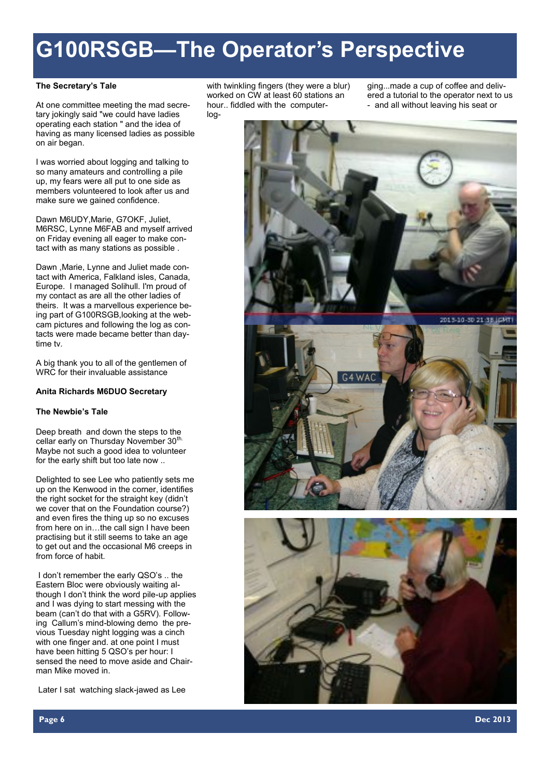# **G100RSGB—The Operator's Perspective**

#### **The Secretary's Tale**

At one committee meeting the mad secretary jokingly said "we could have ladies operating each station " and the idea of having as many licensed ladies as possible on air began.

I was worried about logging and talking to so many amateurs and controlling a pile up, my fears were all put to one side as members volunteered to look after us and make sure we gained confidence.

Dawn M6UDY,Marie, G7OKF, Juliet, M6RSC, Lynne M6FAB and myself arrived on Friday evening all eager to make contact with as many stations as possible .

Dawn ,Marie, Lynne and Juliet made contact with America, Falkland isles, Canada, Europe. I managed Solihull. I'm proud of my contact as are all the other ladies of theirs. It was a marvellous experience being part of G100RSGB,looking at the webcam pictures and following the log as contacts were made became better than daytime tv.

A big thank you to all of the gentlemen of WRC for their invaluable assistance

#### **Anita Richards M6DUO Secretary**

#### **The Newbie's Tale**

Deep breath and down the steps to the cellar early on Thursday November 30<sup>th.</sup> Maybe not such a good idea to volunteer for the early shift but too late now ..

Delighted to see Lee who patiently sets me up on the Kenwood in the corner, identifies the right socket for the straight key (didn't we cover that on the Foundation course?) and even fires the thing up so no excuses from here on in…the call sign I have been practising but it still seems to take an age to get out and the occasional M6 creeps in from force of habit.

I don't remember the early QSO's .. the Eastern Bloc were obviously waiting although I don't think the word pile-up applies and I was dying to start messing with the beam (can't do that with a G5RV). Following Callum's mind-blowing demo the previous Tuesday night logging was a cinch with one finger and, at one point I must have been hitting 5 QSO's per hour: I sensed the need to move aside and Chairman Mike moved in.

Later I sat watching slack-jawed as Lee

with twinkling fingers (they were a blur) worked on CW at least 60 stations an hour.. fiddled with the computerlog-

ging...made a cup of coffee and delivered a tutorial to the operator next to us - and all without leaving his seat or

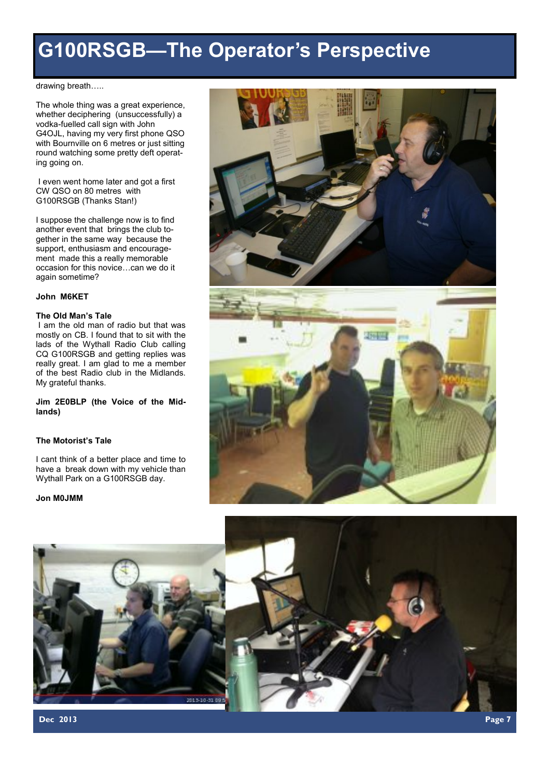## **G100RSGB—The Operator's Perspective**

drawing breath…..

The whole thing was a great experience, whether deciphering (unsuccessfully) a vodka-fuelled call sign with John G4OJL, having my very first phone QSO with Bournville on 6 metres or just sitting round watching some pretty deft operating going on.

I even went home later and got a first CW QSO on 80 metres with G100RSGB (Thanks Stan!)

I suppose the challenge now is to find another event that brings the club together in the same way because the support, enthusiasm and encouragement made this a really memorable occasion for this novice…can we do it again sometime?

#### **John M6KET**

#### **The Old Man's Tale**

I am the old man of radio but that was mostly on CB. I found that to sit with the lads of the Wythall Radio Club calling CQ G100RSGB and getting replies was really great. I am glad to me a member of the best Radio club in the Midlands. My grateful thanks.

**Jim 2E0BLP (the Voice of the Midlands)**

#### **The Motorist's Tale**

I cant think of a better place and time to have a break down with my vehicle than Wythall Park on a G100RSGB day.

#### **Jon M0JMM**





**Dec 2013 Page 7**